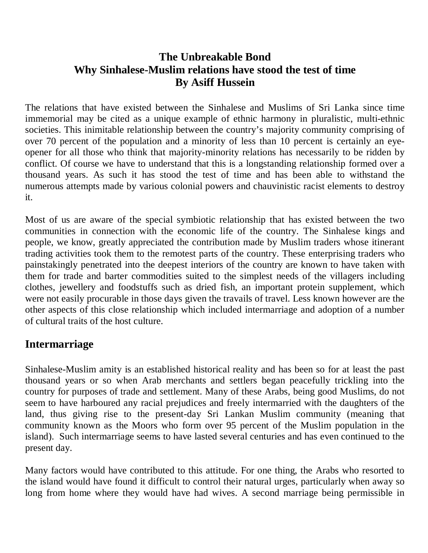## **The Unbreakable Bond Why Sinhalese-Muslim relations have stood the test of time By Asiff Hussein**

The relations that have existed between the Sinhalese and Muslims of Sri Lanka since time immemorial may be cited as a unique example of ethnic harmony in pluralistic, multi-ethnic societies. This inimitable relationship between the country's majority community comprising of over 70 percent of the population and a minority of less than 10 percent is certainly an eyeopener for all those who think that majority-minority relations has necessarily to be ridden by conflict. Of course we have to understand that this is a longstanding relationship formed over a thousand years. As such it has stood the test of time and has been able to withstand the numerous attempts made by various colonial powers and chauvinistic racist elements to destroy it.

Most of us are aware of the special symbiotic relationship that has existed between the two communities in connection with the economic life of the country. The Sinhalese kings and people, we know, greatly appreciated the contribution made by Muslim traders whose itinerant trading activities took them to the remotest parts of the country. These enterprising traders who painstakingly penetrated into the deepest interiors of the country are known to have taken with them for trade and barter commodities suited to the simplest needs of the villagers including clothes, jewellery and foodstuffs such as dried fish, an important protein supplement, which were not easily procurable in those days given the travails of travel. Less known however are the other aspects of this close relationship which included intermarriage and adoption of a number of cultural traits of the host culture.

## **Intermarriage**

Sinhalese-Muslim amity is an established historical reality and has been so for at least the past thousand years or so when Arab merchants and settlers began peacefully trickling into the country for purposes of trade and settlement. Many of these Arabs, being good Muslims, do not seem to have harboured any racial prejudices and freely intermarried with the daughters of the land, thus giving rise to the present-day Sri Lankan Muslim community (meaning that community known as the Moors who form over 95 percent of the Muslim population in the island). Such intermarriage seems to have lasted several centuries and has even continued to the present day.

Many factors would have contributed to this attitude. For one thing, the Arabs who resorted to the island would have found it difficult to control their natural urges, particularly when away so long from home where they would have had wives. A second marriage being permissible in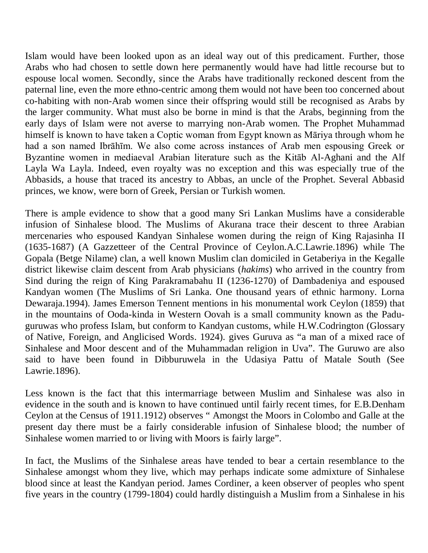Islam would have been looked upon as an ideal way out of this predicament. Further, those Arabs who had chosen to settle down here permanently would have had little recourse but to espouse local women. Secondly, since the Arabs have traditionally reckoned descent from the paternal line, even the more ethno-centric among them would not have been too concerned about co-habiting with non-Arab women since their offspring would still be recognised as Arabs by the larger community. What must also be borne in mind is that the Arabs, beginning from the early days of Islam were not averse to marrying non-Arab women. The Prophet Muhammad himself is known to have taken a Coptic woman from Egypt known as Māriya through whom he had a son named Ibrāhīm. We also come across instances of Arab men espousing Greek or Byzantine women in mediaeval Arabian literature such as the Kitāb Al-Aghani and the Alf Layla Wa Layla. Indeed, even royalty was no exception and this was especially true of the Abbasids, a house that traced its ancestry to Abbas, an uncle of the Prophet. Several Abbasid princes, we know, were born of Greek, Persian or Turkish women.

There is ample evidence to show that a good many Sri Lankan Muslims have a considerable infusion of Sinhalese blood. The Muslims of Akurana trace their descent to three Arabian mercenaries who espoused Kandyan Sinhalese women during the reign of King Rajasinha II (1635-1687) (A Gazzetteer of the Central Province of Ceylon.A.C.Lawrie.1896) while The Gopala (Betge Nilame) clan, a well known Muslim clan domiciled in Getaberiya in the Kegalle district likewise claim descent from Arab physicians (*hakims*) who arrived in the country from Sind during the reign of King Parakramabahu II (1236-1270) of Dambadeniya and espoused Kandyan women (The Muslims of Sri Lanka. One thousand years of ethnic harmony. Lorna Dewaraja.1994). James Emerson Tennent mentions in his monumental work Ceylon (1859) that in the mountains of Ooda-kinda in Western Oovah is a small community known as the Paduguruwas who profess Islam, but conform to Kandyan customs, while H.W.Codrington (Glossary of Native, Foreign, and Anglicised Words. 1924). gives Guruva as "a man of a mixed race of Sinhalese and Moor descent and of the Muhammadan religion in Uva". The Guruwo are also said to have been found in Dibburuwela in the Udasiya Pattu of Matale South (See Lawrie.1896).

Less known is the fact that this intermarriage between Muslim and Sinhalese was also in evidence in the south and is known to have continued until fairly recent times, for E.B.Denham Ceylon at the Census of 1911.1912) observes " Amongst the Moors in Colombo and Galle at the present day there must be a fairly considerable infusion of Sinhalese blood; the number of Sinhalese women married to or living with Moors is fairly large".

In fact, the Muslims of the Sinhalese areas have tended to bear a certain resemblance to the Sinhalese amongst whom they live, which may perhaps indicate some admixture of Sinhalese blood since at least the Kandyan period. James Cordiner, a keen observer of peoples who spent five years in the country (1799-1804) could hardly distinguish a Muslim from a Sinhalese in his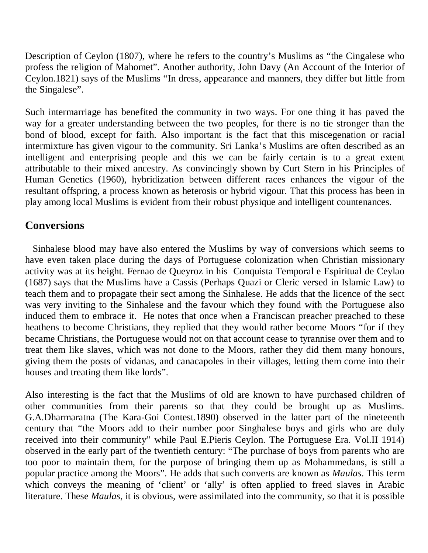Description of Ceylon (1807), where he refers to the country's Muslims as "the Cingalese who profess the religion of Mahomet". Another authority, John Davy (An Account of the Interior of Ceylon.1821) says of the Muslims "In dress, appearance and manners, they differ but little from the Singalese".

Such intermarriage has benefited the community in two ways. For one thing it has paved the way for a greater understanding between the two peoples, for there is no tie stronger than the bond of blood, except for faith. Also important is the fact that this miscegenation or racial intermixture has given vigour to the community. Sri Lanka's Muslims are often described as an intelligent and enterprising people and this we can be fairly certain is to a great extent attributable to their mixed ancestry. As convincingly shown by Curt Stern in his Principles of Human Genetics (1960), hybridization between different races enhances the vigour of the resultant offspring, a process known as heterosis or hybrid vigour. That this process has been in play among local Muslims is evident from their robust physique and intelligent countenances.

## **Conversions**

 Sinhalese blood may have also entered the Muslims by way of conversions which seems to have even taken place during the days of Portuguese colonization when Christian missionary activity was at its height. Fernao de Queyroz in his Conquista Temporal e Espiritual de Ceylao (1687) says that the Muslims have a Cassis (Perhaps Quazi or Cleric versed in Islamic Law) to teach them and to propagate their sect among the Sinhalese. He adds that the licence of the sect was very inviting to the Sinhalese and the favour which they found with the Portuguese also induced them to embrace it. He notes that once when a Franciscan preacher preached to these heathens to become Christians, they replied that they would rather become Moors "for if they became Christians, the Portuguese would not on that account cease to tyrannise over them and to treat them like slaves, which was not done to the Moors, rather they did them many honours, giving them the posts of vidanas, and canacapoles in their villages, letting them come into their houses and treating them like lords".

Also interesting is the fact that the Muslims of old are known to have purchased children of other communities from their parents so that they could be brought up as Muslims. G.A.Dharmaratna (The Kara-Goi Contest.1890) observed in the latter part of the nineteenth century that "the Moors add to their number poor Singhalese boys and girls who are duly received into their community" while Paul E.Pieris Ceylon. The Portuguese Era. Vol.II 1914) observed in the early part of the twentieth century: "The purchase of boys from parents who are too poor to maintain them, for the purpose of bringing them up as Mohammedans, is still a popular practice among the Moors". He adds that such converts are known as *Maulas*. This term which conveys the meaning of 'client' or 'ally' is often applied to freed slaves in Arabic literature. These *Maulas*, it is obvious, were assimilated into the community, so that it is possible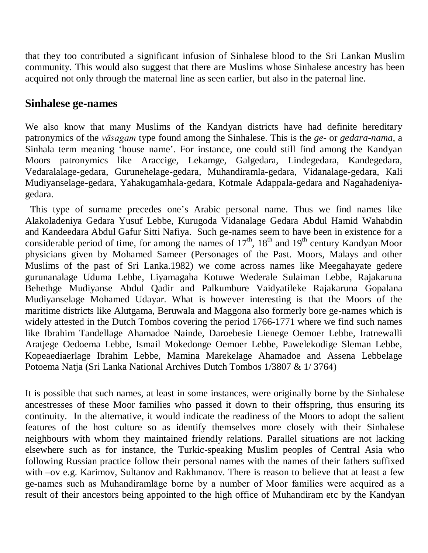that they too contributed a significant infusion of Sinhalese blood to the Sri Lankan Muslim community. This would also suggest that there are Muslims whose Sinhalese ancestry has been acquired not only through the maternal line as seen earlier, but also in the paternal line.

#### **Sinhalese ge-names**

We also know that many Muslims of the Kandyan districts have had definite hereditary patronymics of the *vāsagam* type found among the Sinhalese. This is the *ge*- or *gedara-nama*, a Sinhala term meaning 'house name'. For instance, one could still find among the Kandyan Moors patronymics like Araccige, Lekamge, Galgedara, Lindegedara, Kandegedara, Vedaralalage-gedara, Gurunehelage-gedara, Muhandiramla-gedara, Vidanalage-gedara, Kali Mudiyanselage-gedara, Yahakugamhala-gedara, Kotmale Adappala-gedara and Nagahadeniyagedara.

 This type of surname precedes one's Arabic personal name. Thus we find names like Alakoladeniya Gedara Yusuf Lebbe, Kurugoda Vidanalage Gedara Abdul Hamid Wahabdin and Kandeedara Abdul Gafur Sitti Nafiya. Such ge-names seem to have been in existence for a considerable period of time, for among the names of  $17<sup>th</sup>$ ,  $18<sup>th</sup>$  and  $19<sup>th</sup>$  century Kandyan Moor physicians given by Mohamed Sameer (Personages of the Past. Moors, Malays and other Muslims of the past of Sri Lanka.1982) we come across names like Meegahayate gedere gurunanalage Uduma Lebbe, Liyamagaha Kotuwe Wederale Sulaiman Lebbe, Rajakaruna Behethge Mudiyanse Abdul Qadir and Palkumbure Vaidyatileke Rajakaruna Gopalana Mudiyanselage Mohamed Udayar. What is however interesting is that the Moors of the maritime districts like Alutgama, Beruwala and Maggona also formerly bore ge-names which is widely attested in the Dutch Tombos covering the period 1766-1771 where we find such names like Ibrahim Tandellage Ahamadoe Nainde, Daroebesie Lienege Oemoer Lebbe, Iratnewalli Aratjege Oedoema Lebbe, Ismail Mokedonge Oemoer Lebbe, Pawelekodige Sleman Lebbe, Kopeaediaerlage Ibrahim Lebbe, Mamina Marekelage Ahamadoe and Assena Lebbelage Potoema Natja (Sri Lanka National Archives Dutch Tombos 1/3807 & 1/ 3764)

It is possible that such names, at least in some instances, were originally borne by the Sinhalese ancestresses of these Moor families who passed it down to their offspring, thus ensuring its continuity. In the alternative, it would indicate the readiness of the Moors to adopt the salient features of the host culture so as identify themselves more closely with their Sinhalese neighbours with whom they maintained friendly relations. Parallel situations are not lacking elsewhere such as for instance, the Turkic-speaking Muslim peoples of Central Asia who following Russian practice follow their personal names with the names of their fathers suffixed with –ov e.g. Karimov, Sultanov and Rakhmanov. There is reason to believe that at least a few ge-names such as Muhandiramlāge borne by a number of Moor families were acquired as a result of their ancestors being appointed to the high office of Muhandiram etc by the Kandyan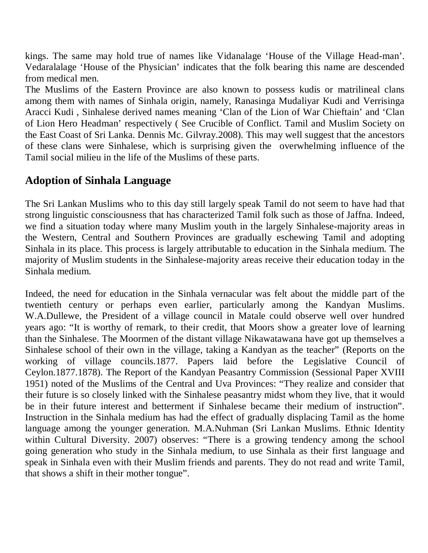kings. The same may hold true of names like Vidanalage 'House of the Village Head-man'. Vedaralalage 'House of the Physician' indicates that the folk bearing this name are descended from medical men.

The Muslims of the Eastern Province are also known to possess kudis or matrilineal clans among them with names of Sinhala origin, namely, Ranasinga Mudaliyar Kudi and Verrisinga Aracci Kudi , Sinhalese derived names meaning 'Clan of the Lion of War Chieftain' and 'Clan of Lion Hero Headman' respectively ( See Crucible of Conflict. Tamil and Muslim Society on the East Coast of Sri Lanka. Dennis Mc. Gilvray.2008). This may well suggest that the ancestors of these clans were Sinhalese, which is surprising given the overwhelming influence of the Tamil social milieu in the life of the Muslims of these parts.

# **Adoption of Sinhala Language**

The Sri Lankan Muslims who to this day still largely speak Tamil do not seem to have had that strong linguistic consciousness that has characterized Tamil folk such as those of Jaffna. Indeed, we find a situation today where many Muslim youth in the largely Sinhalese-majority areas in the Western, Central and Southern Provinces are gradually eschewing Tamil and adopting Sinhala in its place. This process is largely attributable to education in the Sinhala medium. The majority of Muslim students in the Sinhalese-majority areas receive their education today in the Sinhala medium.

Indeed, the need for education in the Sinhala vernacular was felt about the middle part of the twentieth century or perhaps even earlier, particularly among the Kandyan Muslims. W.A.Dullewe, the President of a village council in Matale could observe well over hundred years ago: "It is worthy of remark, to their credit, that Moors show a greater love of learning than the Sinhalese. The Moormen of the distant village Nikawatawana have got up themselves a Sinhalese school of their own in the village, taking a Kandyan as the teacher" (Reports on the working of village councils.1877. Papers laid before the Legislative Council of Ceylon.1877.1878). The Report of the Kandyan Peasantry Commission (Sessional Paper XVIII 1951) noted of the Muslims of the Central and Uva Provinces: "They realize and consider that their future is so closely linked with the Sinhalese peasantry midst whom they live, that it would be in their future interest and betterment if Sinhalese became their medium of instruction". Instruction in the Sinhala medium has had the effect of gradually displacing Tamil as the home language among the younger generation. M.A.Nuhman (Sri Lankan Muslims. Ethnic Identity within Cultural Diversity. 2007) observes: "There is a growing tendency among the school going generation who study in the Sinhala medium, to use Sinhala as their first language and speak in Sinhala even with their Muslim friends and parents. They do not read and write Tamil, that shows a shift in their mother tongue".